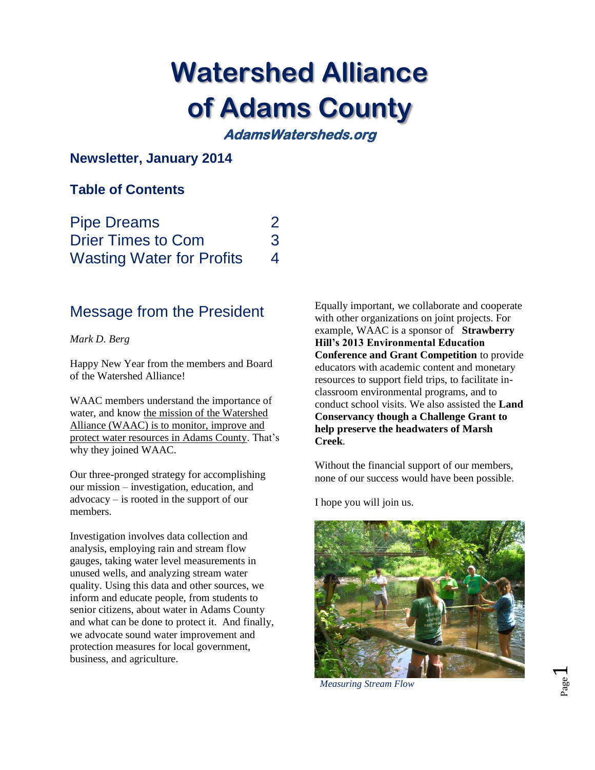# **Watershed Alliance of Adams County**

**AdamsWatersheds.org** 

## **Newsletter, January 2014**

## **Table of Contents**

| <b>Pipe Dreams</b>               | 2 |
|----------------------------------|---|
| <b>Drier Times to Com</b>        | 3 |
| <b>Wasting Water for Profits</b> | 4 |

# Message from the President

#### *Mark D. Berg*

Happy New Year from the members and Board of the Watershed Alliance!

WAAC members understand the importance of water, and know the mission of the Watershed Alliance (WAAC) is to monitor, improve and protect water resources in Adams County. That's why they joined WAAC.

Our three-pronged strategy for accomplishing our mission – investigation, education, and advocacy – is rooted in the support of our members.

Investigation involves data collection and analysis, employing rain and stream flow gauges, taking water level measurements in unused wells, and analyzing stream water quality. Using this data and other sources, we inform and educate people, from students to senior citizens, about water in Adams County and what can be done to protect it. And finally, we advocate sound water improvement and protection measures for local government, business, and agriculture.

Equally important, we collaborate and cooperate with other organizations on joint projects. For example, WAAC is a sponsor of **Strawberry Hill's 2013 Environmental Education Conference and Grant Competition** to provide educators with academic content and monetary resources to support field trips, to facilitate inclassroom environmental programs, and to conduct school visits. We also assisted the **Land Conservancy though a Challenge Grant to help preserve the headwaters of Marsh Creek**.

Without the financial support of our members, none of our success would have been possible.

I hope you will join us.



 *Measuring Stream Flow*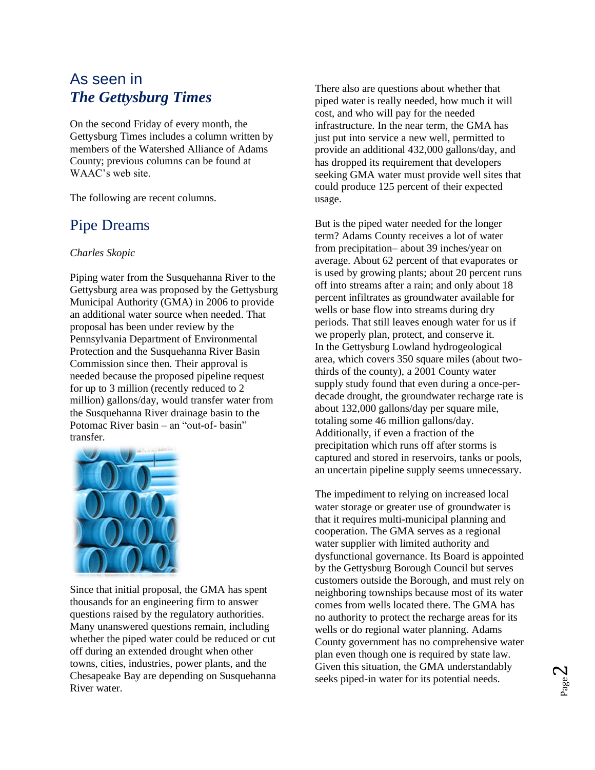# As seen in *The Gettysburg Times*

On the second Friday of every month, the Gettysburg Times includes a column written by members of the Watershed Alliance of Adams County; previous columns can be found at WAAC's web site.

The following are recent columns.

## Pipe Dreams

#### *Charles Skopic*

Piping water from the Susquehanna River to the Gettysburg area was proposed by the Gettysburg Municipal Authority (GMA) in 2006 to provide an additional water source when needed. That proposal has been under review by the Pennsylvania Department of Environmental Protection and the Susquehanna River Basin Commission since then. Their approval is needed because the proposed pipeline request for up to 3 million (recently reduced to 2 million) gallons/day, would transfer water from the Susquehanna River drainage basin to the Potomac River basin – an "out-of- basin" transfer.



Since that initial proposal, the GMA has spent thousands for an engineering firm to answer questions raised by the regulatory authorities. Many unanswered questions remain, including whether the piped water could be reduced or cut off during an extended drought when other towns, cities, industries, power plants, and the Chesapeake Bay are depending on Susquehanna River water.

There also are questions about whether that piped water is really needed, how much it will cost, and who will pay for the needed infrastructure. In the near term, the GMA has just put into service a new well, permitted to provide an additional 432,000 gallons/day, and has dropped its requirement that developers seeking GMA water must provide well sites that could produce 125 percent of their expected usage.

But is the piped water needed for the longer term? Adams County receives a lot of water from precipitation– about 39 inches/year on average. About 62 percent of that evaporates or is used by growing plants; about 20 percent runs off into streams after a rain; and only about 18 percent infiltrates as groundwater available for wells or base flow into streams during dry periods. That still leaves enough water for us if we properly plan, protect, and conserve it. In the Gettysburg Lowland hydrogeological area, which covers 350 square miles (about twothirds of the county), a 2001 County water supply study found that even during a once-perdecade drought, the groundwater recharge rate is about 132,000 gallons/day per square mile, totaling some 46 million gallons/day. Additionally, if even a fraction of the precipitation which runs off after storms is captured and stored in reservoirs, tanks or pools, an uncertain pipeline supply seems unnecessary.

The impediment to relying on increased local water storage or greater use of groundwater is that it requires multi-municipal planning and cooperation. The GMA serves as a regional water supplier with limited authority and dysfunctional governance. Its Board is appointed by the Gettysburg Borough Council but serves customers outside the Borough, and must rely on neighboring townships because most of its water comes from wells located there. The GMA has no authority to protect the recharge areas for its wells or do regional water planning. Adams County government has no comprehensive water plan even though one is required by state law. Given this situation, the GMA understandably seeks piped-in water for its potential needs.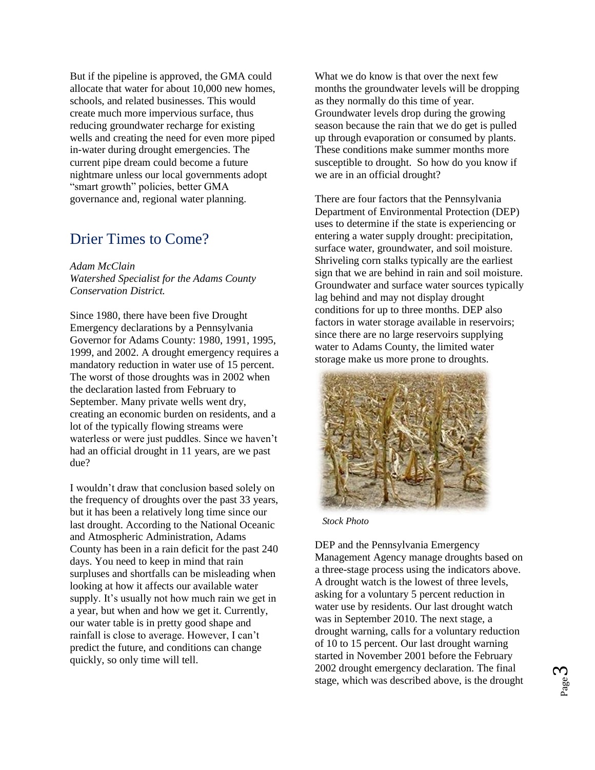But if the pipeline is approved, the GMA could allocate that water for about 10,000 new homes, schools, and related businesses. This would create much more impervious surface, thus reducing groundwater recharge for existing wells and creating the need for even more piped in-water during drought emergencies. The current pipe dream could become a future nightmare unless our local governments adopt "smart growth" policies, better GMA governance and, regional water planning.

## Drier Times to Come?

*Adam McClain Watershed Specialist for the Adams County Conservation District.*

Since 1980, there have been five Drought Emergency declarations by a Pennsylvania Governor for Adams County: 1980, 1991, 1995, 1999, and 2002. A drought emergency requires a mandatory reduction in water use of 15 percent. The worst of those droughts was in 2002 when the declaration lasted from February to September. Many private wells went dry, creating an economic burden on residents, and a lot of the typically flowing streams were waterless or were just puddles. Since we haven't had an official drought in 11 years, are we past due?

I wouldn't draw that conclusion based solely on the frequency of droughts over the past 33 years, but it has been a relatively long time since our last drought. According to the National Oceanic and Atmospheric Administration, Adams County has been in a rain deficit for the past 240 days. You need to keep in mind that rain surpluses and shortfalls can be misleading when looking at how it affects our available water supply. It's usually not how much rain we get in a year, but when and how we get it. Currently, our water table is in pretty good shape and rainfall is close to average. However, I can't predict the future, and conditions can change quickly, so only time will tell.

What we do know is that over the next few months the groundwater levels will be dropping as they normally do this time of year. Groundwater levels drop during the growing season because the rain that we do get is pulled up through evaporation or consumed by plants. These conditions make summer months more susceptible to drought. So how do you know if we are in an official drought?

There are four factors that the Pennsylvania Department of Environmental Protection (DEP) uses to determine if the state is experiencing or entering a water supply drought: precipitation, surface water, groundwater, and soil moisture. Shriveling corn stalks typically are the earliest sign that we are behind in rain and soil moisture. Groundwater and surface water sources typically lag behind and may not display drought conditions for up to three months. DEP also factors in water storage available in reservoirs; since there are no large reservoirs supplying water to Adams County, the limited water storage make us more prone to droughts.



 *Stock Photo*

DEP and the Pennsylvania Emergency Management Agency manage droughts based on a three-stage process using the indicators above. A drought watch is the lowest of three levels, asking for a voluntary 5 percent reduction in water use by residents. Our last drought watch was in September 2010. The next stage, a drought warning, calls for a voluntary reduction of 10 to 15 percent. Our last drought warning started in November 2001 before the February 2002 drought emergency declaration. The final stage, which was described above, is the drought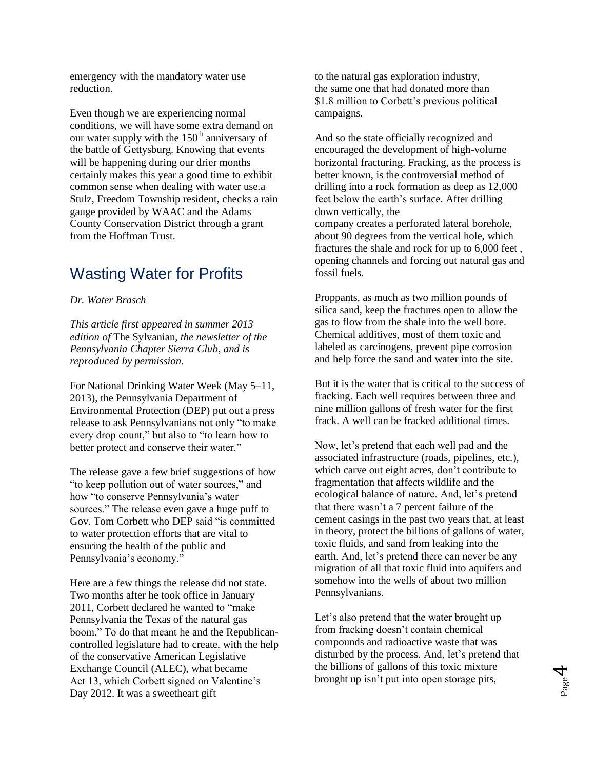emergency with the mandatory water use reduction.

Even though we are experiencing normal conditions, we will have some extra demand on our water supply with the  $150<sup>th</sup>$  anniversary of the battle of Gettysburg. Knowing that events will be happening during our drier months certainly makes this year a good time to exhibit common sense when dealing with water use.a Stulz, Freedom Township resident, checks a rain gauge provided by WAAC and the Adams County Conservation District through a grant from the Hoffman Trust.

# Wasting Water for Profits

*Dr. Water Brasch*

*This article first appeared in summer 2013 edition of* The Sylvanian*, the newsletter of the Pennsylvania Chapter Sierra Club, and is reproduced by permission.*

For National Drinking Water Week (May 5–11, 2013), the Pennsylvania Department of Environmental Protection (DEP) put out a press release to ask Pennsylvanians not only "to make every drop count," but also to "to learn how to better protect and conserve their water."

The release gave a few brief suggestions of how "to keep pollution out of water sources," and how "to conserve Pennsylvania's water sources." The release even gave a huge puff to Gov. Tom Corbett who DEP said "is committed to water protection efforts that are vital to ensuring the health of the public and Pennsylvania's economy."

Here are a few things the release did not state. Two months after he took office in January 2011, Corbett declared he wanted to "make Pennsylvania the Texas of the natural gas boom." To do that meant he and the Republicancontrolled legislature had to create, with the help of the conservative American Legislative Exchange Council (ALEC), what became Act 13, which Corbett signed on Valentine's Day 2012. It was a sweetheart gift

to the natural gas exploration industry, the same one that had donated more than \$1.8 million to Corbett's previous political campaigns.

And so the state officially recognized and encouraged the development of high-volume horizontal fracturing. Fracking, as the process is better known, is the controversial method of drilling into a rock formation as deep as 12,000 feet below the earth's surface. After drilling down vertically, the company creates a perforated lateral borehole, about 90 degrees from the vertical hole, which fractures the shale and rock for up to 6,000 feet , opening channels and forcing out natural gas and fossil fuels.

Proppants, as much as two million pounds of silica sand, keep the fractures open to allow the gas to flow from the shale into the well bore. Chemical additives, most of them toxic and labeled as carcinogens, prevent pipe corrosion and help force the sand and water into the site.

But it is the water that is critical to the success of fracking. Each well requires between three and nine million gallons of fresh water for the first frack. A well can be fracked additional times.

Now, let's pretend that each well pad and the associated infrastructure (roads, pipelines, etc.), which carve out eight acres, don't contribute to fragmentation that affects wildlife and the ecological balance of nature. And, let's pretend that there wasn't a 7 percent failure of the cement casings in the past two years that, at least in theory, protect the billions of gallons of water, toxic fluids, and sand from leaking into the earth. And, let's pretend there can never be any migration of all that toxic fluid into aquifers and somehow into the wells of about two million Pennsylvanians.

Let's also pretend that the water brought up from fracking doesn't contain chemical compounds and radioactive waste that was disturbed by the process. And, let's pretend that the billions of gallons of this toxic mixture brought up isn't put into open storage pits,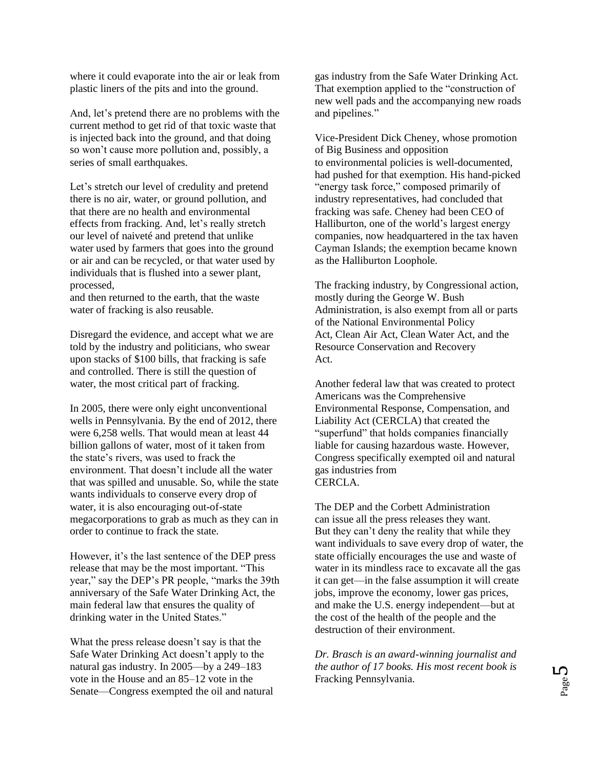where it could evaporate into the air or leak from plastic liners of the pits and into the ground.

And, let's pretend there are no problems with the current method to get rid of that toxic waste that is injected back into the ground, and that doing so won't cause more pollution and, possibly, a series of small earthquakes.

Let's stretch our level of credulity and pretend there is no air, water, or ground pollution, and that there are no health and environmental effects from fracking. And, let's really stretch our level of naiveté and pretend that unlike water used by farmers that goes into the ground or air and can be recycled, or that water used by individuals that is flushed into a sewer plant, processed,

and then returned to the earth, that the waste water of fracking is also reusable.

Disregard the evidence, and accept what we are told by the industry and politicians, who swear upon stacks of \$100 bills, that fracking is safe and controlled. There is still the question of water, the most critical part of fracking.

In 2005, there were only eight unconventional wells in Pennsylvania. By the end of 2012, there were 6,258 wells. That would mean at least 44 billion gallons of water, most of it taken from the state's rivers, was used to frack the environment. That doesn't include all the water that was spilled and unusable. So, while the state wants individuals to conserve every drop of water, it is also encouraging out-of-state megacorporations to grab as much as they can in order to continue to frack the state.

However, it's the last sentence of the DEP press release that may be the most important. "This year," say the DEP's PR people, "marks the 39th anniversary of the Safe Water Drinking Act, the main federal law that ensures the quality of drinking water in the United States."

What the press release doesn't say is that the Safe Water Drinking Act doesn't apply to the natural gas industry. In 2005—by a 249–183 vote in the House and an 85–12 vote in the Senate—Congress exempted the oil and natural gas industry from the Safe Water Drinking Act. That exemption applied to the "construction of new well pads and the accompanying new roads and pipelines."

Vice-President Dick Cheney, whose promotion of Big Business and opposition to environmental policies is well-documented, had pushed for that exemption. His hand-picked "energy task force," composed primarily of industry representatives, had concluded that fracking was safe. Cheney had been CEO of Halliburton, one of the world's largest energy companies, now headquartered in the tax haven Cayman Islands; the exemption became known as the Halliburton Loophole.

The fracking industry, by Congressional action, mostly during the George W. Bush Administration, is also exempt from all or parts of the National Environmental Policy Act, Clean Air Act, Clean Water Act, and the Resource Conservation and Recovery Act.

Another federal law that was created to protect Americans was the Comprehensive Environmental Response, Compensation, and Liability Act (CERCLA) that created the "superfund" that holds companies financially liable for causing hazardous waste. However, Congress specifically exempted oil and natural gas industries from CERCLA.

The DEP and the Corbett Administration can issue all the press releases they want. But they can't deny the reality that while they want individuals to save every drop of water, the state officially encourages the use and waste of water in its mindless race to excavate all the gas it can get—in the false assumption it will create jobs, improve the economy, lower gas prices, and make the U.S. energy independent—but at the cost of the health of the people and the destruction of their environment.

*Dr. Brasch is an award-winning journalist and the author of 17 books. His most recent book is*  Fracking Pennsylvania*.*